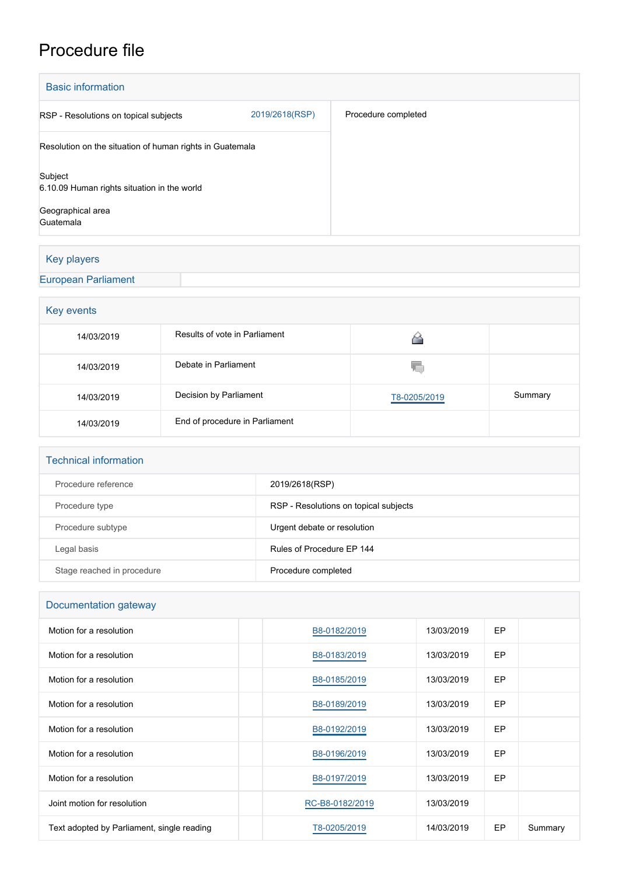# Procedure file

| <b>Basic information</b>                                 |                |                     |
|----------------------------------------------------------|----------------|---------------------|
| RSP - Resolutions on topical subjects                    | 2019/2618(RSP) | Procedure completed |
| Resolution on the situation of human rights in Guatemala |                |                     |
| Subject<br>6.10.09 Human rights situation in the world   |                |                     |
| Geographical area<br>Guatemala                           |                |                     |

## Key players

### [European Parliament](http://www.europarl.europa.eu/)

| Key events |                                |              |         |  |  |
|------------|--------------------------------|--------------|---------|--|--|
| 14/03/2019 | Results of vote in Parliament  |              |         |  |  |
| 14/03/2019 | Debate in Parliament           | Y.           |         |  |  |
| 14/03/2019 | Decision by Parliament         | T8-0205/2019 | Summary |  |  |
| 14/03/2019 | End of procedure in Parliament |              |         |  |  |

| <b>Technical information</b> |                                       |
|------------------------------|---------------------------------------|
| Procedure reference          | 2019/2618(RSP)                        |
| Procedure type               | RSP - Resolutions on topical subjects |
| Procedure subtype            | Urgent debate or resolution           |
| Legal basis                  | Rules of Procedure FP 144             |
| Stage reached in procedure   | Procedure completed                   |

| Documentation gateway                      |                 |            |           |         |  |  |
|--------------------------------------------|-----------------|------------|-----------|---------|--|--|
| Motion for a resolution                    | B8-0182/2019    | 13/03/2019 | <b>EP</b> |         |  |  |
| Motion for a resolution                    | B8-0183/2019    | 13/03/2019 | <b>EP</b> |         |  |  |
| Motion for a resolution                    | B8-0185/2019    | 13/03/2019 | <b>EP</b> |         |  |  |
| Motion for a resolution                    | B8-0189/2019    | 13/03/2019 | <b>EP</b> |         |  |  |
| Motion for a resolution                    | B8-0192/2019    | 13/03/2019 | EP        |         |  |  |
| Motion for a resolution                    | B8-0196/2019    | 13/03/2019 | EP        |         |  |  |
| Motion for a resolution                    | B8-0197/2019    | 13/03/2019 | EP        |         |  |  |
| Joint motion for resolution                | RC-B8-0182/2019 | 13/03/2019 |           |         |  |  |
| Text adopted by Parliament, single reading | T8-0205/2019    | 14/03/2019 | EP        | Summary |  |  |